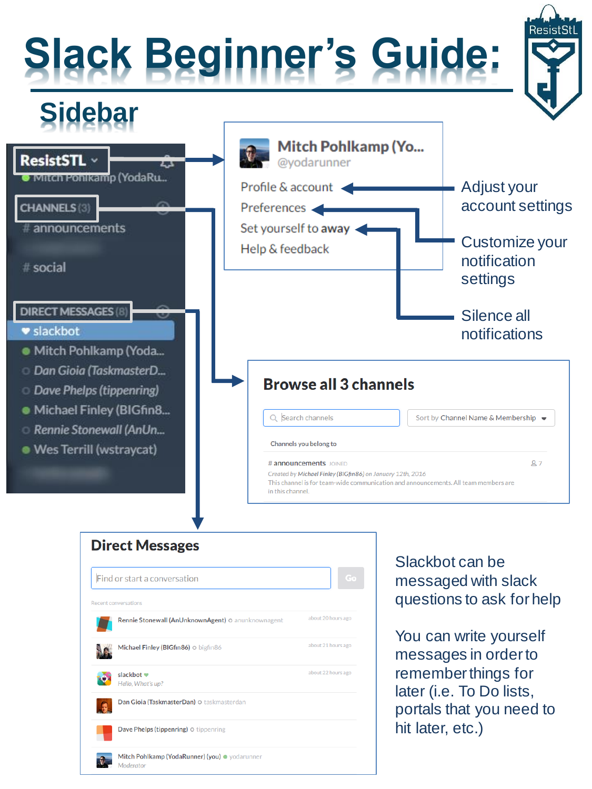## **Slack Beginner's Guide:**





| <b>Direct Messages</b>                                      |                    |
|-------------------------------------------------------------|--------------------|
| Find or start a conversation                                | Go                 |
| <b>Recent conversations</b>                                 |                    |
| Rennie Stonewall (AnUnknownAgent) O anunknownagent          | about 20 hours ago |
| Michael Finley (BIGfin86) o bigfin86                        | about 21 hours ago |
| slackbot •<br>Hello, What's up?                             | about 22 hours ago |
| Dan Gioia (TaskmasterDan) O taskmasterdan                   |                    |
| Dave Phelps (tippenring) o tippenring                       |                    |
| Mitch Pohlkamp (YodaRunner) (you) · yodarunner<br>Moderator |                    |

Slackbot can be messaged with slack questions to ask for help

You can write yourself messages in order to remember things for later (i.e. To Do lists, portals that you need to hit later, etc.)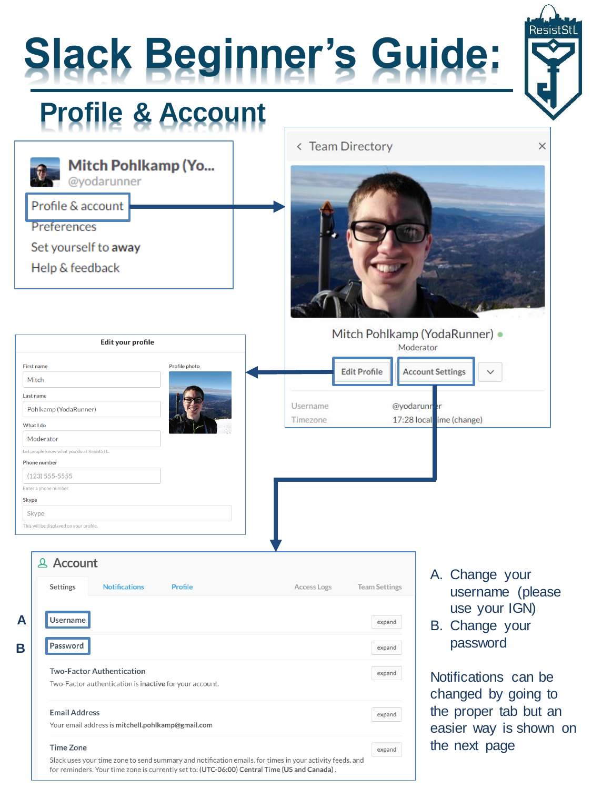

for reminders. Your time zone is currently set to: (UTC-06:00) Central Time (US and Canada).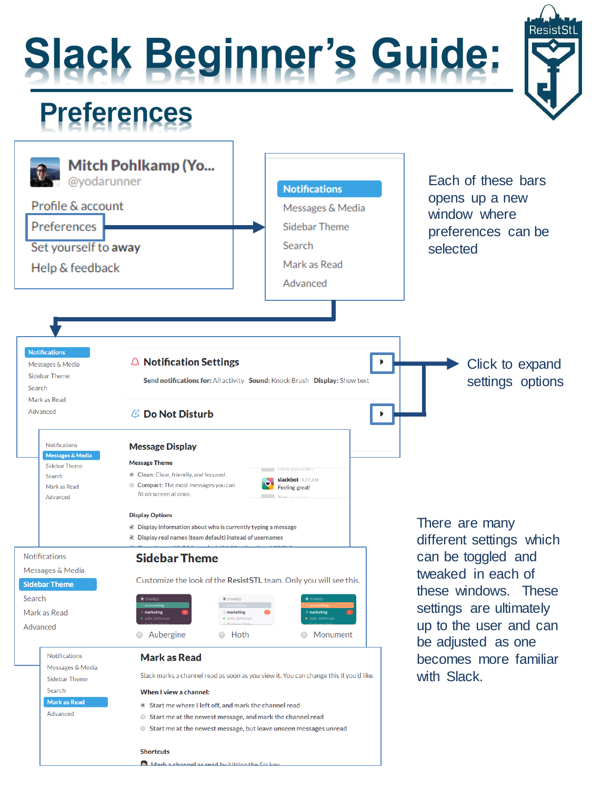## **Slack Beginner's Guide:**



#### **Preferences**



Mark a channel as read by hitting the Esc key